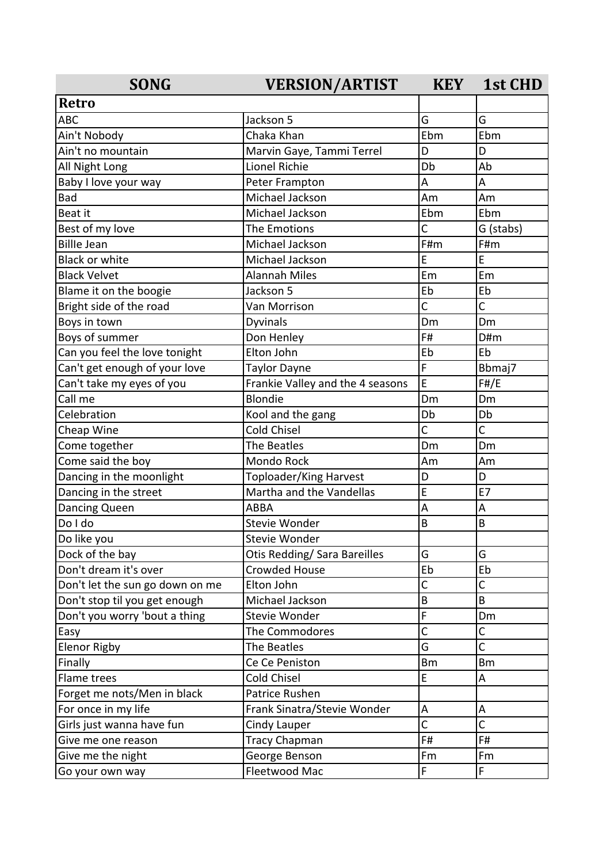| <b>SONG</b>                     | <b>VERSION/ARTIST</b>            |                         | <b>KEY</b> 1st CHD      |
|---------------------------------|----------------------------------|-------------------------|-------------------------|
| Retro                           |                                  |                         |                         |
| <b>ABC</b>                      | Jackson 5                        | G                       | G                       |
| Ain't Nobody                    | Chaka Khan                       | Ebm                     | Ebm                     |
| Ain't no mountain               | Marvin Gaye, Tammi Terrel        | D                       | D                       |
| All Night Long                  | <b>Lionel Richie</b>             | Db                      | Ab                      |
| Baby I love your way            | Peter Frampton                   | A                       | A                       |
| Bad                             | Michael Jackson                  | Am                      | Am                      |
| Beat it                         | Michael Jackson                  | Ebm                     | Ebm                     |
| Best of my love                 | The Emotions                     | $\overline{C}$          | G (stabs)               |
| <b>Billle Jean</b>              | Michael Jackson                  | F#m                     | F#m                     |
| <b>Black or white</b>           | Michael Jackson                  | E                       | E                       |
| <b>Black Velvet</b>             | <b>Alannah Miles</b>             | Em                      | Em                      |
| Blame it on the boogie          | Jackson 5                        | Eb                      | Eb                      |
| Bright side of the road         | Van Morrison                     | Ċ                       | C                       |
| Boys in town                    | Dyvinals                         | Dm                      | Dm                      |
| Boys of summer                  | Don Henley                       | F#                      | D#m                     |
| Can you feel the love tonight   | Elton John                       | Eb                      | Eb                      |
| Can't get enough of your love   | <b>Taylor Dayne</b>              | F                       | Bbmaj7                  |
| Can't take my eyes of you       | Frankie Valley and the 4 seasons | E                       | F#/E                    |
| Call me                         | Blondie                          | Dm                      | Dm                      |
| Celebration                     | Kool and the gang                | Db                      | Db                      |
| Cheap Wine                      | <b>Cold Chisel</b>               | $\overline{C}$          | $\mathsf{C}$            |
| Come together                   | The Beatles                      | Dm                      | Dm                      |
| Come said the boy               | Mondo Rock                       | Am                      | Am                      |
| Dancing in the moonlight        | Toploader/King Harvest           | D                       | D                       |
| Dancing in the street           | Martha and the Vandellas         | E                       | E7                      |
| Dancing Queen                   | <b>ABBA</b>                      | A                       | A                       |
| Do I do                         | <b>Stevie Wonder</b>             | B                       | $\vert$ B               |
| Do like you                     | Stevie Wonder                    |                         |                         |
| Dock of the bay                 | Otis Redding/ Sara Bareilles     | G                       | G                       |
| Don't dream it's over           | <b>Crowded House</b>             | Eb                      | Eb                      |
| Don't let the sun go down on me | Elton John                       | $\mathsf{C}$            | $\mathsf C$             |
| Don't stop til you get enough   | Michael Jackson                  | B                       | B                       |
| Don't you worry 'bout a thing   | Stevie Wonder                    | $\overline{F}$          | Dm                      |
| Easy                            | The Commodores                   | $\overline{C}$          | C                       |
| <b>Elenor Rigby</b>             | The Beatles                      | G                       | $\mathsf{C}$            |
| Finally                         | Ce Ce Peniston                   | Bm                      | <b>Bm</b>               |
| Flame trees                     | Cold Chisel                      | E                       | Α                       |
| Forget me nots/Men in black     | Patrice Rushen                   |                         |                         |
| For once in my life             | Frank Sinatra/Stevie Wonder      | A                       | A                       |
| Girls just wanna have fun       | <b>Cindy Lauper</b>              | $\overline{\mathsf{c}}$ | $\overline{\mathsf{c}}$ |
| Give me one reason              | <b>Tracy Chapman</b>             | F#                      | F#                      |
| Give me the night               | George Benson                    | Fm                      | Fm                      |
| Go your own way                 | Fleetwood Mac                    | F                       | F                       |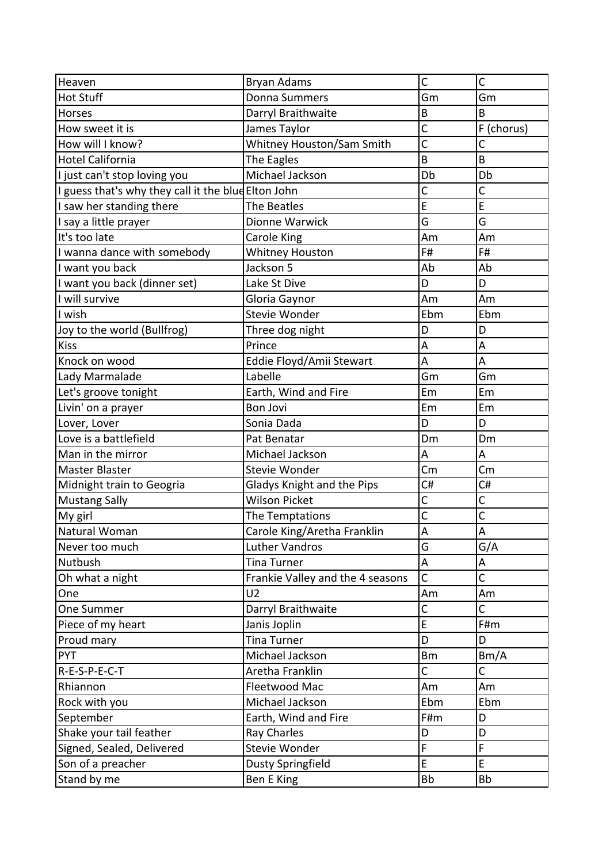| Heaven                                              | Bryan Adams                       | C                       | C              |
|-----------------------------------------------------|-----------------------------------|-------------------------|----------------|
| <b>Hot Stuff</b>                                    | <b>Donna Summers</b>              | Gm                      | Gm             |
| Horses                                              | Darryl Braithwaite                | B                       | B              |
| How sweet it is                                     | James Taylor                      | $\overline{c}$          | F (chorus)     |
| How will I know?                                    | Whitney Houston/Sam Smith         | $\overline{\mathsf{c}}$ | C              |
| <b>Hotel California</b>                             | The Eagles                        | B                       | B              |
| I just can't stop loving you                        | Michael Jackson                   | Db                      | Db             |
| I guess that's why they call it the blue Elton John |                                   | $\mathsf{C}$            | C              |
| I saw her standing there                            | The Beatles                       | E                       | E              |
| I say a little prayer                               | Dionne Warwick                    | G                       | G              |
| It's too late                                       | Carole King                       | Am                      | Am             |
| I wanna dance with somebody                         | <b>Whitney Houston</b>            | F#                      | F#             |
| I want you back                                     | Jackson 5                         | Ab                      | Ab             |
| I want you back (dinner set)                        | Lake St Dive                      | D                       | D              |
| I will survive                                      | Gloria Gaynor                     | Am                      | Am             |
| I wish                                              | <b>Stevie Wonder</b>              | Ebm                     | Ebm            |
| Joy to the world (Bullfrog)                         | Three dog night                   | D                       | D              |
| <b>Kiss</b>                                         | Prince                            | A                       | A              |
| Knock on wood                                       | Eddie Floyd/Amii Stewart          | A                       | A              |
| Lady Marmalade                                      | Labelle                           | Gm                      | Gm             |
| Let's groove tonight                                | Earth, Wind and Fire              | Em                      | Em             |
| Livin' on a prayer                                  | <b>Bon Jovi</b>                   | Em                      | Em             |
| Lover, Lover                                        | Sonia Dada                        | D                       | D              |
| Love is a battlefield                               | Pat Benatar                       | Dm                      | Dm             |
| Man in the mirror                                   | Michael Jackson                   | A                       | A              |
| <b>Master Blaster</b>                               | <b>Stevie Wonder</b>              | Cm                      | $\mathsf{Cm}$  |
| Midnight train to Geogria                           | <b>Gladys Knight and the Pips</b> | C#                      | C#             |
| <b>Mustang Sally</b>                                | <b>Wilson Picket</b>              | $\overline{\mathsf{c}}$ | C              |
| My girl                                             | The Temptations                   | $\overline{\mathsf{C}}$ | Ċ              |
| Natural Woman                                       | Carole King/Aretha Franklin       | A                       | $\overline{A}$ |
| Never too much                                      | Luther Vandros                    | G                       | G/A            |
| Nutbush                                             | <b>Tina Turner</b>                | A                       | A              |
| Oh what a night                                     | Frankie Valley and the 4 seasons  | $\overline{C}$          | $\overline{C}$ |
| One                                                 | U <sub>2</sub>                    | Am                      | Am             |
| One Summer                                          | Darryl Braithwaite                | $\mathsf{C}$            | $\mathsf{C}$   |
| Piece of my heart                                   | Janis Joplin                      | E                       | F#m            |
| Proud mary                                          | Tina Turner                       | D                       | D              |
| <b>PYT</b>                                          | Michael Jackson                   | <b>Bm</b>               | Bm/A           |
| R-E-S-P-E-C-T                                       | Aretha Franklin                   | $\mathsf{C}$            | $\mathsf{C}$   |
| Rhiannon                                            | Fleetwood Mac                     | Am                      | Am             |
| Rock with you                                       | Michael Jackson                   | Ebm                     | Ebm            |
| September                                           | Earth, Wind and Fire              | F#m                     | D              |
| Shake your tail feather                             | Ray Charles                       | D                       | D              |
| Signed, Sealed, Delivered                           | Stevie Wonder                     | F                       | F              |
| Son of a preacher                                   | Dusty Springfield                 | $\overline{E}$          | E              |
| Stand by me                                         | Ben E King                        | <b>Bb</b>               | <b>Bb</b>      |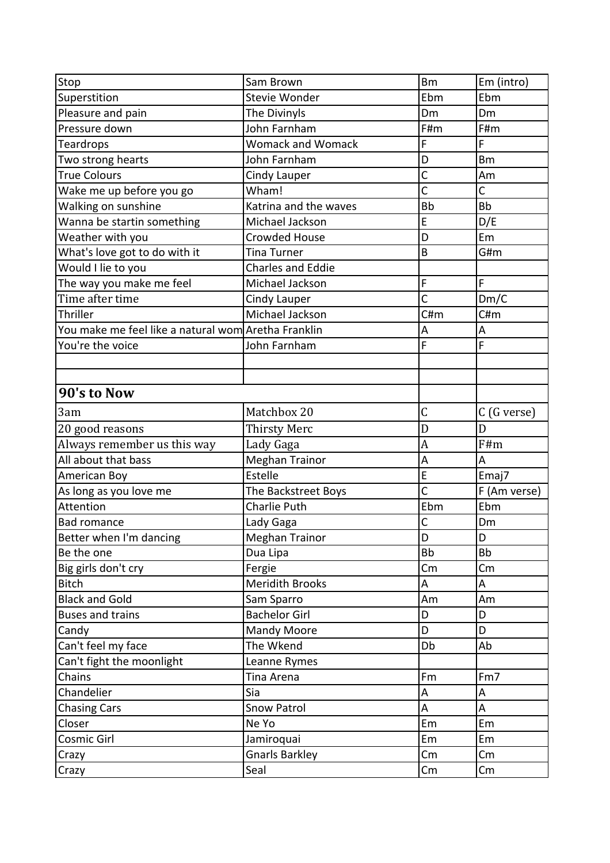| Ebm<br>Ebm<br>Superstition<br><b>Stevie Wonder</b><br>Pleasure and pain<br>The Divinyls<br>Dm<br>Dm<br>John Farnham<br>Pressure down<br>F#m<br>F#m<br><b>Womack and Womack</b><br>F<br>F<br>Teardrops<br>John Farnham<br>D<br>Two strong hearts<br><b>Bm</b><br>$\overline{\overline{\mathsf{c}}}$<br><b>True Colours</b><br>Am<br>Cindy Lauper<br>$\overline{\mathsf{c}}$<br>$\overline{C}$<br>Wake me up before you go<br>Wham!<br><b>Bb</b><br>Walking on sunshine<br>Katrina and the waves<br>Bb<br>Wanna be startin something<br>E<br>D/E<br>Michael Jackson<br>Weather with you<br><b>Crowded House</b><br>D<br>Em<br>What's love got to do with it<br>G#m<br><b>Tina Turner</b><br>B<br>Would I lie to you<br><b>Charles and Eddie</b><br>F<br>The way you make me feel<br>Michael Jackson<br>F<br>Time after time<br>Ċ<br>Dm/C<br><b>Cindy Lauper</b><br>Michael Jackson<br>C#m<br>C#m<br>Thriller<br>You make me feel like a natural wom Aretha Franklin<br>A<br>А<br>F<br>F<br>You're the voice<br>John Farnham<br>90's to Now<br>C<br>3am<br>Matchbox 20<br>C (G verse) |
|------------------------------------------------------------------------------------------------------------------------------------------------------------------------------------------------------------------------------------------------------------------------------------------------------------------------------------------------------------------------------------------------------------------------------------------------------------------------------------------------------------------------------------------------------------------------------------------------------------------------------------------------------------------------------------------------------------------------------------------------------------------------------------------------------------------------------------------------------------------------------------------------------------------------------------------------------------------------------------------------------------------------------------------------------------------------------------|
|                                                                                                                                                                                                                                                                                                                                                                                                                                                                                                                                                                                                                                                                                                                                                                                                                                                                                                                                                                                                                                                                                    |
|                                                                                                                                                                                                                                                                                                                                                                                                                                                                                                                                                                                                                                                                                                                                                                                                                                                                                                                                                                                                                                                                                    |
|                                                                                                                                                                                                                                                                                                                                                                                                                                                                                                                                                                                                                                                                                                                                                                                                                                                                                                                                                                                                                                                                                    |
|                                                                                                                                                                                                                                                                                                                                                                                                                                                                                                                                                                                                                                                                                                                                                                                                                                                                                                                                                                                                                                                                                    |
|                                                                                                                                                                                                                                                                                                                                                                                                                                                                                                                                                                                                                                                                                                                                                                                                                                                                                                                                                                                                                                                                                    |
|                                                                                                                                                                                                                                                                                                                                                                                                                                                                                                                                                                                                                                                                                                                                                                                                                                                                                                                                                                                                                                                                                    |
|                                                                                                                                                                                                                                                                                                                                                                                                                                                                                                                                                                                                                                                                                                                                                                                                                                                                                                                                                                                                                                                                                    |
|                                                                                                                                                                                                                                                                                                                                                                                                                                                                                                                                                                                                                                                                                                                                                                                                                                                                                                                                                                                                                                                                                    |
|                                                                                                                                                                                                                                                                                                                                                                                                                                                                                                                                                                                                                                                                                                                                                                                                                                                                                                                                                                                                                                                                                    |
|                                                                                                                                                                                                                                                                                                                                                                                                                                                                                                                                                                                                                                                                                                                                                                                                                                                                                                                                                                                                                                                                                    |
|                                                                                                                                                                                                                                                                                                                                                                                                                                                                                                                                                                                                                                                                                                                                                                                                                                                                                                                                                                                                                                                                                    |
|                                                                                                                                                                                                                                                                                                                                                                                                                                                                                                                                                                                                                                                                                                                                                                                                                                                                                                                                                                                                                                                                                    |
|                                                                                                                                                                                                                                                                                                                                                                                                                                                                                                                                                                                                                                                                                                                                                                                                                                                                                                                                                                                                                                                                                    |
|                                                                                                                                                                                                                                                                                                                                                                                                                                                                                                                                                                                                                                                                                                                                                                                                                                                                                                                                                                                                                                                                                    |
|                                                                                                                                                                                                                                                                                                                                                                                                                                                                                                                                                                                                                                                                                                                                                                                                                                                                                                                                                                                                                                                                                    |
|                                                                                                                                                                                                                                                                                                                                                                                                                                                                                                                                                                                                                                                                                                                                                                                                                                                                                                                                                                                                                                                                                    |
|                                                                                                                                                                                                                                                                                                                                                                                                                                                                                                                                                                                                                                                                                                                                                                                                                                                                                                                                                                                                                                                                                    |
|                                                                                                                                                                                                                                                                                                                                                                                                                                                                                                                                                                                                                                                                                                                                                                                                                                                                                                                                                                                                                                                                                    |
|                                                                                                                                                                                                                                                                                                                                                                                                                                                                                                                                                                                                                                                                                                                                                                                                                                                                                                                                                                                                                                                                                    |
|                                                                                                                                                                                                                                                                                                                                                                                                                                                                                                                                                                                                                                                                                                                                                                                                                                                                                                                                                                                                                                                                                    |
|                                                                                                                                                                                                                                                                                                                                                                                                                                                                                                                                                                                                                                                                                                                                                                                                                                                                                                                                                                                                                                                                                    |
| D<br>20 good reasons<br><b>Thirsty Merc</b><br>D                                                                                                                                                                                                                                                                                                                                                                                                                                                                                                                                                                                                                                                                                                                                                                                                                                                                                                                                                                                                                                   |
| F#m<br>Always remember us this way<br>$\overline{A}$<br>Lady Gaga                                                                                                                                                                                                                                                                                                                                                                                                                                                                                                                                                                                                                                                                                                                                                                                                                                                                                                                                                                                                                  |
| All about that bass<br>Meghan Trainor<br>A<br>$\overline{A}$                                                                                                                                                                                                                                                                                                                                                                                                                                                                                                                                                                                                                                                                                                                                                                                                                                                                                                                                                                                                                       |
| Ė<br>Estelle<br>Emaj7<br>American Boy                                                                                                                                                                                                                                                                                                                                                                                                                                                                                                                                                                                                                                                                                                                                                                                                                                                                                                                                                                                                                                              |
| Ċ<br>As long as you love me<br>F (Am verse)<br>The Backstreet Boys                                                                                                                                                                                                                                                                                                                                                                                                                                                                                                                                                                                                                                                                                                                                                                                                                                                                                                                                                                                                                 |
| Attention<br>Charlie Puth<br>Ebm<br>Ebm                                                                                                                                                                                                                                                                                                                                                                                                                                                                                                                                                                                                                                                                                                                                                                                                                                                                                                                                                                                                                                            |
| <b>Bad romance</b><br>Lady Gaga<br>С<br>Dm                                                                                                                                                                                                                                                                                                                                                                                                                                                                                                                                                                                                                                                                                                                                                                                                                                                                                                                                                                                                                                         |
| D<br>D<br>Better when I'm dancing<br><b>Meghan Trainor</b>                                                                                                                                                                                                                                                                                                                                                                                                                                                                                                                                                                                                                                                                                                                                                                                                                                                                                                                                                                                                                         |
| <b>Bb</b><br><b>Bb</b><br>Be the one<br>Dua Lipa                                                                                                                                                                                                                                                                                                                                                                                                                                                                                                                                                                                                                                                                                                                                                                                                                                                                                                                                                                                                                                   |
| Big girls don't cry<br>$\mathsf{Cm}$<br>Fergie<br>$\mathsf{Cm}$                                                                                                                                                                                                                                                                                                                                                                                                                                                                                                                                                                                                                                                                                                                                                                                                                                                                                                                                                                                                                    |
| <b>Meridith Brooks</b><br><b>Bitch</b><br>A<br>A                                                                                                                                                                                                                                                                                                                                                                                                                                                                                                                                                                                                                                                                                                                                                                                                                                                                                                                                                                                                                                   |
| <b>Black and Gold</b><br>Sam Sparro<br>Am<br>Am                                                                                                                                                                                                                                                                                                                                                                                                                                                                                                                                                                                                                                                                                                                                                                                                                                                                                                                                                                                                                                    |
| <b>Bachelor Girl</b><br><b>Buses and trains</b><br>D<br>D                                                                                                                                                                                                                                                                                                                                                                                                                                                                                                                                                                                                                                                                                                                                                                                                                                                                                                                                                                                                                          |
| D<br><b>Mandy Moore</b><br>D<br>Candy                                                                                                                                                                                                                                                                                                                                                                                                                                                                                                                                                                                                                                                                                                                                                                                                                                                                                                                                                                                                                                              |
| Can't feel my face<br>The Wkend<br>Db<br>Ab                                                                                                                                                                                                                                                                                                                                                                                                                                                                                                                                                                                                                                                                                                                                                                                                                                                                                                                                                                                                                                        |
| Can't fight the moonlight<br>Leanne Rymes                                                                                                                                                                                                                                                                                                                                                                                                                                                                                                                                                                                                                                                                                                                                                                                                                                                                                                                                                                                                                                          |
| Fm<br>Fm7<br>Chains<br>Tina Arena                                                                                                                                                                                                                                                                                                                                                                                                                                                                                                                                                                                                                                                                                                                                                                                                                                                                                                                                                                                                                                                  |
| Chandelier<br>Sia<br>A<br>А                                                                                                                                                                                                                                                                                                                                                                                                                                                                                                                                                                                                                                                                                                                                                                                                                                                                                                                                                                                                                                                        |
| A<br><b>Snow Patrol</b><br>A<br><b>Chasing Cars</b>                                                                                                                                                                                                                                                                                                                                                                                                                                                                                                                                                                                                                                                                                                                                                                                                                                                                                                                                                                                                                                |
| Closer<br>Ne Yo<br>Em<br>Em                                                                                                                                                                                                                                                                                                                                                                                                                                                                                                                                                                                                                                                                                                                                                                                                                                                                                                                                                                                                                                                        |
| Cosmic Girl<br>Jamiroquai<br>Em<br>Em                                                                                                                                                                                                                                                                                                                                                                                                                                                                                                                                                                                                                                                                                                                                                                                                                                                                                                                                                                                                                                              |
| <b>Gnarls Barkley</b><br>Cm<br>$\mathsf{Cm}$<br>Crazy                                                                                                                                                                                                                                                                                                                                                                                                                                                                                                                                                                                                                                                                                                                                                                                                                                                                                                                                                                                                                              |
| Seal<br>Cm<br>$\mathsf{Cm}$<br>Crazy                                                                                                                                                                                                                                                                                                                                                                                                                                                                                                                                                                                                                                                                                                                                                                                                                                                                                                                                                                                                                                               |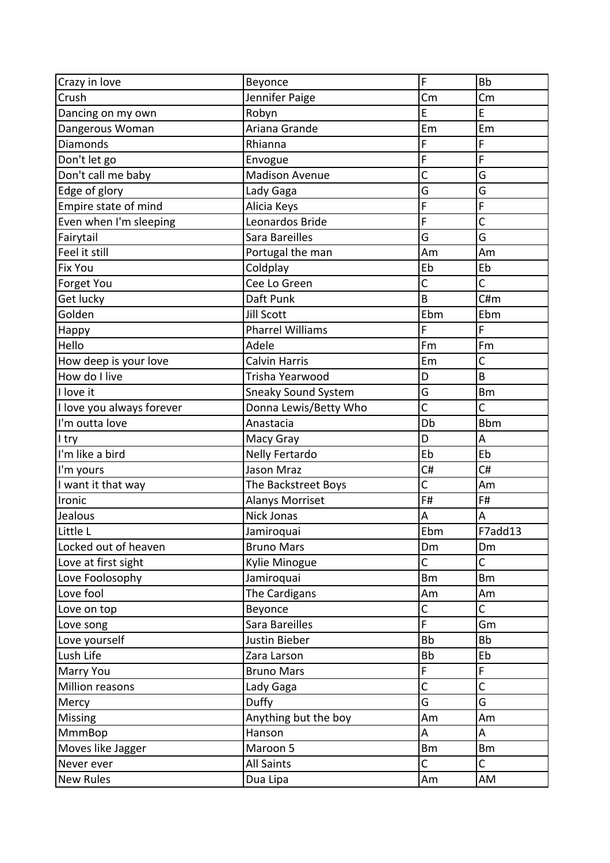| Crazy in love             | Beyonce                    | F                       | <b>Bb</b>    |
|---------------------------|----------------------------|-------------------------|--------------|
| Crush                     | Jennifer Paige             | Cm                      | Cm           |
| Dancing on my own         | Robyn                      | Ė                       | E            |
| Dangerous Woman           | Ariana Grande              | Em                      | Em           |
| Diamonds                  | Rhianna                    | F                       | F            |
| Don't let go              | Envogue                    | F                       | F            |
| Don't call me baby        | <b>Madison Avenue</b>      | C                       | G            |
| Edge of glory             | Lady Gaga                  | G                       | G            |
| Empire state of mind      | Alicia Keys                | F                       | F            |
| Even when I'm sleeping    | Leonardos Bride            | F                       | $\mathsf{C}$ |
| Fairytail                 | Sara Bareilles             | G                       | G            |
| Feel it still             | Portugal the man           | Am                      | Am           |
| <b>Fix You</b>            | Coldplay                   | Eb                      | Eb           |
| Forget You                | Cee Lo Green               | Ċ                       | $\mathsf{C}$ |
| Get lucky                 | Daft Punk                  | B                       | C#m          |
| Golden                    | Jill Scott                 | Ebm                     | Ebm          |
| Happy                     | <b>Pharrel Williams</b>    | F                       | F            |
| Hello                     | Adele                      | Fm                      | Fm           |
| How deep is your love     | Calvin Harris              | Em                      | $\mathsf{C}$ |
| How do I live             | Trisha Yearwood            | D                       | B            |
| I love it                 | <b>Sneaky Sound System</b> | G                       | <b>Bm</b>    |
| I love you always forever | Donna Lewis/Betty Who      | $\overline{\mathsf{c}}$ | $\mathsf{C}$ |
| I'm outta love            | Anastacia                  | Db                      | <b>Bbm</b>   |
| I try                     | Macy Gray                  | D                       | A            |
| I'm like a bird           | Nelly Fertardo             | Eb                      | Eb           |
| I'm yours                 | <b>Jason Mraz</b>          | C#                      | C#           |
| I want it that way        | The Backstreet Boys        | C                       | Am           |
| Ironic                    | Alanys Morriset            | F#                      | F#           |
| Jealous                   | Nick Jonas                 | A                       | A            |
| Little L                  | Jamiroquai                 | Ebm                     | F7add13      |
| Locked out of heaven      | <b>Bruno Mars</b>          | Dm                      | Dm           |
| Love at first sight       | Kylie Minogue              | C                       | $\mathsf{C}$ |
| Love Foolosophy           | Jamiroquai                 | <b>Bm</b>               | <b>Bm</b>    |
| Love fool                 | The Cardigans              | Am                      | Am           |
| Love on top               | Beyonce                    | $\mathsf{C}$            | $\mathsf{C}$ |
| Love song                 | Sara Bareilles             | F                       | Gm           |
| Love yourself             | Justin Bieber              | <b>Bb</b>               | <b>Bb</b>    |
| Lush Life                 | Zara Larson                | Bb                      | Eb           |
| <b>Marry You</b>          | <b>Bruno Mars</b>          | F                       | F            |
| Million reasons           | Lady Gaga                  | C                       | $\mathsf{C}$ |
| Mercy                     | Duffy                      | G                       | G            |
| <b>Missing</b>            | Anything but the boy       | Am                      | Am           |
| MmmBop                    | Hanson                     | A                       | A            |
| Moves like Jagger         | Maroon 5                   | <b>Bm</b>               | <b>Bm</b>    |
| Never ever                |                            |                         |              |
|                           | All Saints                 | $\mathsf{C}$            | $\mathsf{C}$ |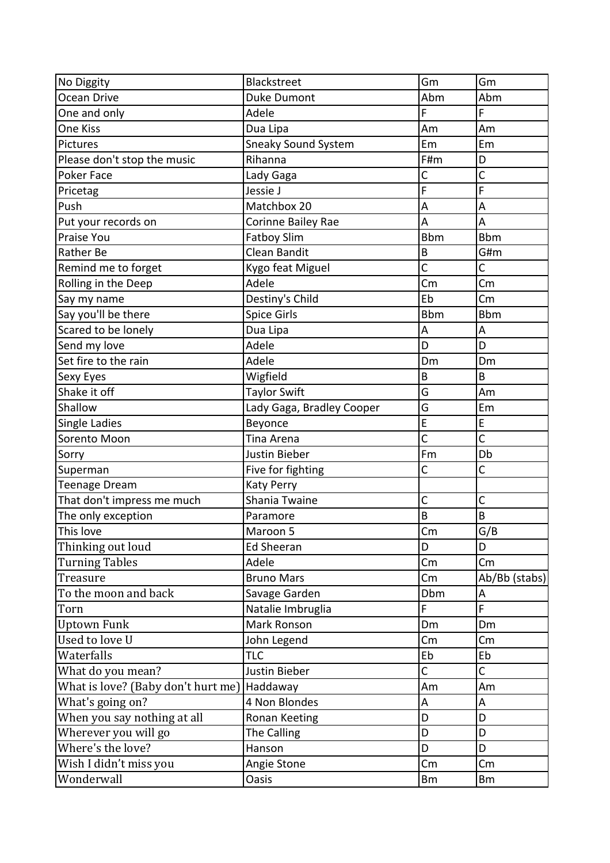| Abm<br>Ocean Drive<br><b>Duke Dumont</b><br>Abm<br>F<br>One and only<br>Adele<br>F<br><b>One Kiss</b><br>Dua Lipa<br>Am<br>Am<br><b>Sneaky Sound System</b><br>Pictures<br>Em<br>Em<br>Please don't stop the music<br>Rihanna<br>F#m<br>D<br>$\overline{\mathsf{C}}$<br>C<br>Poker Face<br>Lady Gaga<br>$\overline{\mathsf{F}}$<br>F<br>Jessie J<br>Pricetag<br>Push<br>Matchbox 20<br>A<br>A<br>A<br>Put your records on<br>Corinne Bailey Rae<br>A<br>Praise You<br><b>Fatboy Slim</b><br><b>Bbm</b><br><b>Bbm</b><br>Clean Bandit<br>B<br>G#m<br>Rather Be<br>C<br>$\mathsf{C}$<br>Remind me to forget<br>Kygo feat Miguel<br>Cm<br>Cm<br>Rolling in the Deep<br>Adele<br>Say my name<br>Destiny's Child<br>Eb<br>Cm<br>Say you'll be there<br><b>Spice Girls</b><br><b>Bbm</b><br><b>Bbm</b><br>Scared to be lonely<br>Dua Lipa<br>A<br>A<br>Send my love<br>Adele<br>D<br>D<br>Set fire to the rain<br>Adele<br>Dm<br>Dm<br>Wigfield<br>B<br>B<br>Sexy Eyes<br>G<br>Shake it off<br><b>Taylor Swift</b><br>Am<br>G<br>Shallow<br>Lady Gaga, Bradley Cooper<br>Em<br>E<br>E<br><b>Single Ladies</b><br>Beyonce<br>$\overline{\mathsf{c}}$<br>$\mathsf{C}$<br>Sorento Moon<br>Tina Arena<br>Fm<br>Db<br>Justin Bieber<br>Sorry<br>C<br>$\mathsf{C}$<br>Five for fighting<br>Superman<br><b>Katy Perry</b><br><b>Teenage Dream</b><br>C<br>$\mathsf{C}$<br>That don't impress me much<br>Shania Twaine<br>The only exception<br>B<br>B<br>Paramore<br>G/B<br>This love<br>Cm<br>Maroon 5<br>Thinking out loud<br><b>Ed Sheeran</b><br>D<br>D<br><b>Turning Tables</b><br>Cm<br>Adele<br>Cm<br>Treasure<br><b>Bruno Mars</b><br>$\mathsf{Cm}$<br>To the moon and back<br>Savage Garden<br>Dbm<br>A<br>F<br>F<br>Torn<br>Natalie Imbruglia<br><b>Uptown Funk</b><br>Mark Ronson<br>Dm<br>Dm<br>Used to love $\overline{U}$<br>Cm<br>John Legend<br>Cm<br>Waterfalls<br><b>TLC</b><br>Eb<br>Eb<br>$\mathsf{C}$<br>$\mathsf{C}$<br>What do you mean?<br>Justin Bieber<br>What is love? (Baby don't hurt me)<br>Haddaway<br>Am<br>Am<br>What's going on?<br>4 Non Blondes<br>$\boldsymbol{\mathsf{A}}$<br>A | No Diggity                  | Blackstreet   | Gm | Gm |
|----------------------------------------------------------------------------------------------------------------------------------------------------------------------------------------------------------------------------------------------------------------------------------------------------------------------------------------------------------------------------------------------------------------------------------------------------------------------------------------------------------------------------------------------------------------------------------------------------------------------------------------------------------------------------------------------------------------------------------------------------------------------------------------------------------------------------------------------------------------------------------------------------------------------------------------------------------------------------------------------------------------------------------------------------------------------------------------------------------------------------------------------------------------------------------------------------------------------------------------------------------------------------------------------------------------------------------------------------------------------------------------------------------------------------------------------------------------------------------------------------------------------------------------------------------------------------------------------------------------------------------------------------------------------------------------------------------------------------------------------------------------------------------------------------------------------------------------------------------------------------------------------------------------------------------------------------------------------------------------------------------------------------------------------------------------------------------------------------------|-----------------------------|---------------|----|----|
|                                                                                                                                                                                                                                                                                                                                                                                                                                                                                                                                                                                                                                                                                                                                                                                                                                                                                                                                                                                                                                                                                                                                                                                                                                                                                                                                                                                                                                                                                                                                                                                                                                                                                                                                                                                                                                                                                                                                                                                                                                                                                                          |                             |               |    |    |
| Ab/Bb (stabs)                                                                                                                                                                                                                                                                                                                                                                                                                                                                                                                                                                                                                                                                                                                                                                                                                                                                                                                                                                                                                                                                                                                                                                                                                                                                                                                                                                                                                                                                                                                                                                                                                                                                                                                                                                                                                                                                                                                                                                                                                                                                                            |                             |               |    |    |
|                                                                                                                                                                                                                                                                                                                                                                                                                                                                                                                                                                                                                                                                                                                                                                                                                                                                                                                                                                                                                                                                                                                                                                                                                                                                                                                                                                                                                                                                                                                                                                                                                                                                                                                                                                                                                                                                                                                                                                                                                                                                                                          |                             |               |    |    |
|                                                                                                                                                                                                                                                                                                                                                                                                                                                                                                                                                                                                                                                                                                                                                                                                                                                                                                                                                                                                                                                                                                                                                                                                                                                                                                                                                                                                                                                                                                                                                                                                                                                                                                                                                                                                                                                                                                                                                                                                                                                                                                          |                             |               |    |    |
|                                                                                                                                                                                                                                                                                                                                                                                                                                                                                                                                                                                                                                                                                                                                                                                                                                                                                                                                                                                                                                                                                                                                                                                                                                                                                                                                                                                                                                                                                                                                                                                                                                                                                                                                                                                                                                                                                                                                                                                                                                                                                                          |                             |               |    |    |
|                                                                                                                                                                                                                                                                                                                                                                                                                                                                                                                                                                                                                                                                                                                                                                                                                                                                                                                                                                                                                                                                                                                                                                                                                                                                                                                                                                                                                                                                                                                                                                                                                                                                                                                                                                                                                                                                                                                                                                                                                                                                                                          |                             |               |    |    |
|                                                                                                                                                                                                                                                                                                                                                                                                                                                                                                                                                                                                                                                                                                                                                                                                                                                                                                                                                                                                                                                                                                                                                                                                                                                                                                                                                                                                                                                                                                                                                                                                                                                                                                                                                                                                                                                                                                                                                                                                                                                                                                          |                             |               |    |    |
|                                                                                                                                                                                                                                                                                                                                                                                                                                                                                                                                                                                                                                                                                                                                                                                                                                                                                                                                                                                                                                                                                                                                                                                                                                                                                                                                                                                                                                                                                                                                                                                                                                                                                                                                                                                                                                                                                                                                                                                                                                                                                                          |                             |               |    |    |
|                                                                                                                                                                                                                                                                                                                                                                                                                                                                                                                                                                                                                                                                                                                                                                                                                                                                                                                                                                                                                                                                                                                                                                                                                                                                                                                                                                                                                                                                                                                                                                                                                                                                                                                                                                                                                                                                                                                                                                                                                                                                                                          |                             |               |    |    |
|                                                                                                                                                                                                                                                                                                                                                                                                                                                                                                                                                                                                                                                                                                                                                                                                                                                                                                                                                                                                                                                                                                                                                                                                                                                                                                                                                                                                                                                                                                                                                                                                                                                                                                                                                                                                                                                                                                                                                                                                                                                                                                          |                             |               |    |    |
|                                                                                                                                                                                                                                                                                                                                                                                                                                                                                                                                                                                                                                                                                                                                                                                                                                                                                                                                                                                                                                                                                                                                                                                                                                                                                                                                                                                                                                                                                                                                                                                                                                                                                                                                                                                                                                                                                                                                                                                                                                                                                                          |                             |               |    |    |
|                                                                                                                                                                                                                                                                                                                                                                                                                                                                                                                                                                                                                                                                                                                                                                                                                                                                                                                                                                                                                                                                                                                                                                                                                                                                                                                                                                                                                                                                                                                                                                                                                                                                                                                                                                                                                                                                                                                                                                                                                                                                                                          |                             |               |    |    |
|                                                                                                                                                                                                                                                                                                                                                                                                                                                                                                                                                                                                                                                                                                                                                                                                                                                                                                                                                                                                                                                                                                                                                                                                                                                                                                                                                                                                                                                                                                                                                                                                                                                                                                                                                                                                                                                                                                                                                                                                                                                                                                          |                             |               |    |    |
|                                                                                                                                                                                                                                                                                                                                                                                                                                                                                                                                                                                                                                                                                                                                                                                                                                                                                                                                                                                                                                                                                                                                                                                                                                                                                                                                                                                                                                                                                                                                                                                                                                                                                                                                                                                                                                                                                                                                                                                                                                                                                                          |                             |               |    |    |
|                                                                                                                                                                                                                                                                                                                                                                                                                                                                                                                                                                                                                                                                                                                                                                                                                                                                                                                                                                                                                                                                                                                                                                                                                                                                                                                                                                                                                                                                                                                                                                                                                                                                                                                                                                                                                                                                                                                                                                                                                                                                                                          |                             |               |    |    |
|                                                                                                                                                                                                                                                                                                                                                                                                                                                                                                                                                                                                                                                                                                                                                                                                                                                                                                                                                                                                                                                                                                                                                                                                                                                                                                                                                                                                                                                                                                                                                                                                                                                                                                                                                                                                                                                                                                                                                                                                                                                                                                          |                             |               |    |    |
|                                                                                                                                                                                                                                                                                                                                                                                                                                                                                                                                                                                                                                                                                                                                                                                                                                                                                                                                                                                                                                                                                                                                                                                                                                                                                                                                                                                                                                                                                                                                                                                                                                                                                                                                                                                                                                                                                                                                                                                                                                                                                                          |                             |               |    |    |
|                                                                                                                                                                                                                                                                                                                                                                                                                                                                                                                                                                                                                                                                                                                                                                                                                                                                                                                                                                                                                                                                                                                                                                                                                                                                                                                                                                                                                                                                                                                                                                                                                                                                                                                                                                                                                                                                                                                                                                                                                                                                                                          |                             |               |    |    |
|                                                                                                                                                                                                                                                                                                                                                                                                                                                                                                                                                                                                                                                                                                                                                                                                                                                                                                                                                                                                                                                                                                                                                                                                                                                                                                                                                                                                                                                                                                                                                                                                                                                                                                                                                                                                                                                                                                                                                                                                                                                                                                          |                             |               |    |    |
|                                                                                                                                                                                                                                                                                                                                                                                                                                                                                                                                                                                                                                                                                                                                                                                                                                                                                                                                                                                                                                                                                                                                                                                                                                                                                                                                                                                                                                                                                                                                                                                                                                                                                                                                                                                                                                                                                                                                                                                                                                                                                                          |                             |               |    |    |
|                                                                                                                                                                                                                                                                                                                                                                                                                                                                                                                                                                                                                                                                                                                                                                                                                                                                                                                                                                                                                                                                                                                                                                                                                                                                                                                                                                                                                                                                                                                                                                                                                                                                                                                                                                                                                                                                                                                                                                                                                                                                                                          |                             |               |    |    |
|                                                                                                                                                                                                                                                                                                                                                                                                                                                                                                                                                                                                                                                                                                                                                                                                                                                                                                                                                                                                                                                                                                                                                                                                                                                                                                                                                                                                                                                                                                                                                                                                                                                                                                                                                                                                                                                                                                                                                                                                                                                                                                          |                             |               |    |    |
|                                                                                                                                                                                                                                                                                                                                                                                                                                                                                                                                                                                                                                                                                                                                                                                                                                                                                                                                                                                                                                                                                                                                                                                                                                                                                                                                                                                                                                                                                                                                                                                                                                                                                                                                                                                                                                                                                                                                                                                                                                                                                                          |                             |               |    |    |
|                                                                                                                                                                                                                                                                                                                                                                                                                                                                                                                                                                                                                                                                                                                                                                                                                                                                                                                                                                                                                                                                                                                                                                                                                                                                                                                                                                                                                                                                                                                                                                                                                                                                                                                                                                                                                                                                                                                                                                                                                                                                                                          |                             |               |    |    |
|                                                                                                                                                                                                                                                                                                                                                                                                                                                                                                                                                                                                                                                                                                                                                                                                                                                                                                                                                                                                                                                                                                                                                                                                                                                                                                                                                                                                                                                                                                                                                                                                                                                                                                                                                                                                                                                                                                                                                                                                                                                                                                          |                             |               |    |    |
|                                                                                                                                                                                                                                                                                                                                                                                                                                                                                                                                                                                                                                                                                                                                                                                                                                                                                                                                                                                                                                                                                                                                                                                                                                                                                                                                                                                                                                                                                                                                                                                                                                                                                                                                                                                                                                                                                                                                                                                                                                                                                                          |                             |               |    |    |
|                                                                                                                                                                                                                                                                                                                                                                                                                                                                                                                                                                                                                                                                                                                                                                                                                                                                                                                                                                                                                                                                                                                                                                                                                                                                                                                                                                                                                                                                                                                                                                                                                                                                                                                                                                                                                                                                                                                                                                                                                                                                                                          |                             |               |    |    |
|                                                                                                                                                                                                                                                                                                                                                                                                                                                                                                                                                                                                                                                                                                                                                                                                                                                                                                                                                                                                                                                                                                                                                                                                                                                                                                                                                                                                                                                                                                                                                                                                                                                                                                                                                                                                                                                                                                                                                                                                                                                                                                          |                             |               |    |    |
|                                                                                                                                                                                                                                                                                                                                                                                                                                                                                                                                                                                                                                                                                                                                                                                                                                                                                                                                                                                                                                                                                                                                                                                                                                                                                                                                                                                                                                                                                                                                                                                                                                                                                                                                                                                                                                                                                                                                                                                                                                                                                                          |                             |               |    |    |
|                                                                                                                                                                                                                                                                                                                                                                                                                                                                                                                                                                                                                                                                                                                                                                                                                                                                                                                                                                                                                                                                                                                                                                                                                                                                                                                                                                                                                                                                                                                                                                                                                                                                                                                                                                                                                                                                                                                                                                                                                                                                                                          |                             |               |    |    |
|                                                                                                                                                                                                                                                                                                                                                                                                                                                                                                                                                                                                                                                                                                                                                                                                                                                                                                                                                                                                                                                                                                                                                                                                                                                                                                                                                                                                                                                                                                                                                                                                                                                                                                                                                                                                                                                                                                                                                                                                                                                                                                          |                             |               |    |    |
|                                                                                                                                                                                                                                                                                                                                                                                                                                                                                                                                                                                                                                                                                                                                                                                                                                                                                                                                                                                                                                                                                                                                                                                                                                                                                                                                                                                                                                                                                                                                                                                                                                                                                                                                                                                                                                                                                                                                                                                                                                                                                                          |                             |               |    |    |
|                                                                                                                                                                                                                                                                                                                                                                                                                                                                                                                                                                                                                                                                                                                                                                                                                                                                                                                                                                                                                                                                                                                                                                                                                                                                                                                                                                                                                                                                                                                                                                                                                                                                                                                                                                                                                                                                                                                                                                                                                                                                                                          |                             |               |    |    |
|                                                                                                                                                                                                                                                                                                                                                                                                                                                                                                                                                                                                                                                                                                                                                                                                                                                                                                                                                                                                                                                                                                                                                                                                                                                                                                                                                                                                                                                                                                                                                                                                                                                                                                                                                                                                                                                                                                                                                                                                                                                                                                          |                             |               |    |    |
|                                                                                                                                                                                                                                                                                                                                                                                                                                                                                                                                                                                                                                                                                                                                                                                                                                                                                                                                                                                                                                                                                                                                                                                                                                                                                                                                                                                                                                                                                                                                                                                                                                                                                                                                                                                                                                                                                                                                                                                                                                                                                                          |                             |               |    |    |
|                                                                                                                                                                                                                                                                                                                                                                                                                                                                                                                                                                                                                                                                                                                                                                                                                                                                                                                                                                                                                                                                                                                                                                                                                                                                                                                                                                                                                                                                                                                                                                                                                                                                                                                                                                                                                                                                                                                                                                                                                                                                                                          |                             |               |    |    |
|                                                                                                                                                                                                                                                                                                                                                                                                                                                                                                                                                                                                                                                                                                                                                                                                                                                                                                                                                                                                                                                                                                                                                                                                                                                                                                                                                                                                                                                                                                                                                                                                                                                                                                                                                                                                                                                                                                                                                                                                                                                                                                          |                             |               |    |    |
|                                                                                                                                                                                                                                                                                                                                                                                                                                                                                                                                                                                                                                                                                                                                                                                                                                                                                                                                                                                                                                                                                                                                                                                                                                                                                                                                                                                                                                                                                                                                                                                                                                                                                                                                                                                                                                                                                                                                                                                                                                                                                                          |                             |               |    |    |
|                                                                                                                                                                                                                                                                                                                                                                                                                                                                                                                                                                                                                                                                                                                                                                                                                                                                                                                                                                                                                                                                                                                                                                                                                                                                                                                                                                                                                                                                                                                                                                                                                                                                                                                                                                                                                                                                                                                                                                                                                                                                                                          |                             |               |    |    |
|                                                                                                                                                                                                                                                                                                                                                                                                                                                                                                                                                                                                                                                                                                                                                                                                                                                                                                                                                                                                                                                                                                                                                                                                                                                                                                                                                                                                                                                                                                                                                                                                                                                                                                                                                                                                                                                                                                                                                                                                                                                                                                          |                             |               |    |    |
|                                                                                                                                                                                                                                                                                                                                                                                                                                                                                                                                                                                                                                                                                                                                                                                                                                                                                                                                                                                                                                                                                                                                                                                                                                                                                                                                                                                                                                                                                                                                                                                                                                                                                                                                                                                                                                                                                                                                                                                                                                                                                                          | When you say nothing at all | Ronan Keeting | D  | D  |
| Wherever you will go<br>D<br>D<br>The Calling                                                                                                                                                                                                                                                                                                                                                                                                                                                                                                                                                                                                                                                                                                                                                                                                                                                                                                                                                                                                                                                                                                                                                                                                                                                                                                                                                                                                                                                                                                                                                                                                                                                                                                                                                                                                                                                                                                                                                                                                                                                            |                             |               |    |    |
| Where's the love?<br>D<br>D<br>Hanson                                                                                                                                                                                                                                                                                                                                                                                                                                                                                                                                                                                                                                                                                                                                                                                                                                                                                                                                                                                                                                                                                                                                                                                                                                                                                                                                                                                                                                                                                                                                                                                                                                                                                                                                                                                                                                                                                                                                                                                                                                                                    |                             |               |    |    |
| Wish I didn't miss you<br>Cm<br>Cm<br>Angie Stone                                                                                                                                                                                                                                                                                                                                                                                                                                                                                                                                                                                                                                                                                                                                                                                                                                                                                                                                                                                                                                                                                                                                                                                                                                                                                                                                                                                                                                                                                                                                                                                                                                                                                                                                                                                                                                                                                                                                                                                                                                                        |                             |               |    |    |
| Wonderwall<br>Oasis<br><b>Bm</b><br><b>Bm</b>                                                                                                                                                                                                                                                                                                                                                                                                                                                                                                                                                                                                                                                                                                                                                                                                                                                                                                                                                                                                                                                                                                                                                                                                                                                                                                                                                                                                                                                                                                                                                                                                                                                                                                                                                                                                                                                                                                                                                                                                                                                            |                             |               |    |    |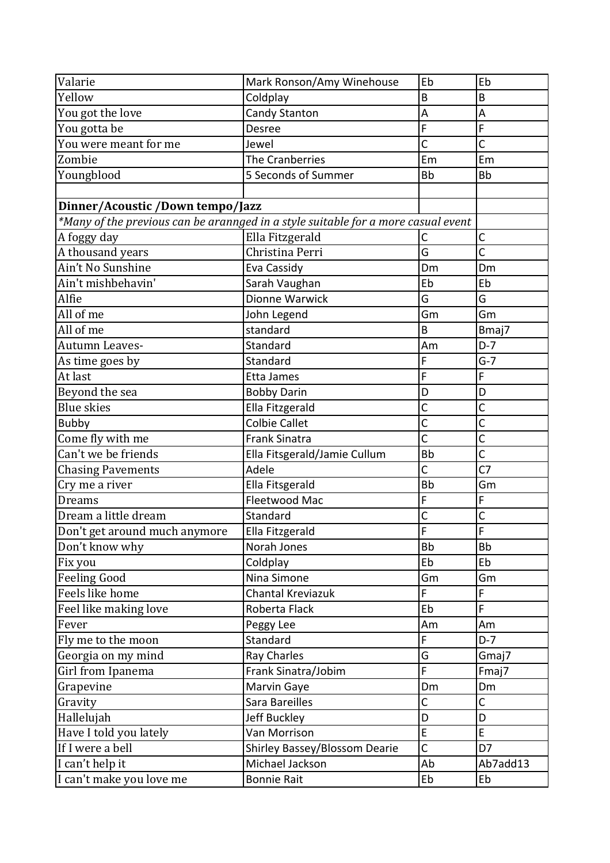| Valarie                                                                           | Mark Ronson/Amy Winehouse     | Eb             | Eb             |
|-----------------------------------------------------------------------------------|-------------------------------|----------------|----------------|
| Yellow                                                                            | Coldplay                      | B              | B              |
| You got the love                                                                  | Candy Stanton                 | A              | A              |
| You gotta be                                                                      | Desree                        | $\overline{F}$ | F              |
| You were meant for me                                                             | Jewel                         | C              | $\mathsf{C}$   |
| Zombie                                                                            | The Cranberries               | Em             | Em             |
| Youngblood                                                                        | 5 Seconds of Summer           | <b>Bb</b>      | <b>Bb</b>      |
|                                                                                   |                               |                |                |
| Dinner/Acoustic /Down tempo/Jazz                                                  |                               |                |                |
| *Many of the previous can be arannged in a style suitable for a more casual event |                               |                |                |
| A foggy day                                                                       | Ella Fitzgerald               | C              | $\mathsf C$    |
| A thousand years                                                                  | Christina Perri               | G              | $\mathsf{C}$   |
| Ain't No Sunshine                                                                 | Eva Cassidy                   | Dm             | Dm             |
| Ain't mishbehavin'                                                                | Sarah Vaughan                 | Eb             | Eb             |
| Alfie                                                                             | Dionne Warwick                | G              | G              |
| All of me                                                                         | John Legend                   | Gm             | Gm             |
| All of me                                                                         | standard                      | B              | Bmaj7          |
| Autumn Leaves-                                                                    | Standard                      | Am             | $D-7$          |
| As time goes by                                                                   | Standard                      | F              | $G-7$          |
| At last                                                                           | Etta James                    | F              | F              |
| Beyond the sea                                                                    | <b>Bobby Darin</b>            | D              | D              |
| <b>Blue skies</b>                                                                 | Ella Fitzgerald               | $\overline{C}$ | $\mathsf{C}$   |
| <b>Bubby</b>                                                                      | <b>Colbie Callet</b>          | C              | C              |
| Come fly with me                                                                  | <b>Frank Sinatra</b>          | $\overline{C}$ | $\mathsf{C}$   |
| Can't we be friends                                                               | Ella Fitsgerald/Jamie Cullum  | <b>Bb</b>      | $\mathsf{C}$   |
| <b>Chasing Pavements</b>                                                          | Adele                         | $\mathsf{C}$   | C7             |
| Cry me a river                                                                    | Ella Fitsgerald               | <b>Bb</b>      | Gm             |
| <b>Dreams</b>                                                                     | Fleetwood Mac                 | F              | $\mathsf F$    |
| Dream a little dream                                                              | Standard                      | C              | $\mathsf{C}$   |
| Don't get around much anymore                                                     | Ella Fitzgerald               | F              | F              |
| Don't know why                                                                    | Norah Jones                   | <b>Bb</b>      | <b>Bb</b>      |
| Fix you                                                                           | Coldplay                      | Eb             | Eb             |
| <b>Feeling Good</b>                                                               | Nina Simone                   | Gm             | Gm             |
| Feels like home                                                                   | Chantal Kreviazuk             | F              | F              |
| Feel like making love                                                             | Roberta Flack                 | Eb             | $\overline{F}$ |
| Fever                                                                             | Peggy Lee                     | Am             | Am             |
| Fly me to the moon                                                                | Standard                      | F              | $D-7$          |
| Georgia on my mind                                                                | Ray Charles                   | G              | Gmaj7          |
| Girl from Ipanema                                                                 | Frank Sinatra/Jobim           | $\overline{F}$ | Fmaj7          |
| Grapevine                                                                         | Marvin Gaye                   | Dm             | Dm             |
| Gravity                                                                           | Sara Bareilles                | $\mathsf{C}$   | $\mathsf{C}$   |
| Hallelujah                                                                        | Jeff Buckley                  | D              | D              |
| Have I told you lately                                                            | Van Morrison                  | E              | $\mathsf E$    |
| If I were a bell                                                                  | Shirley Bassey/Blossom Dearie | $\mathsf{C}$   | D7             |
| I can't help it                                                                   | Michael Jackson               | Ab             | Ab7add13       |
| I can't make you love me                                                          | <b>Bonnie Rait</b>            | Eb             | Eb             |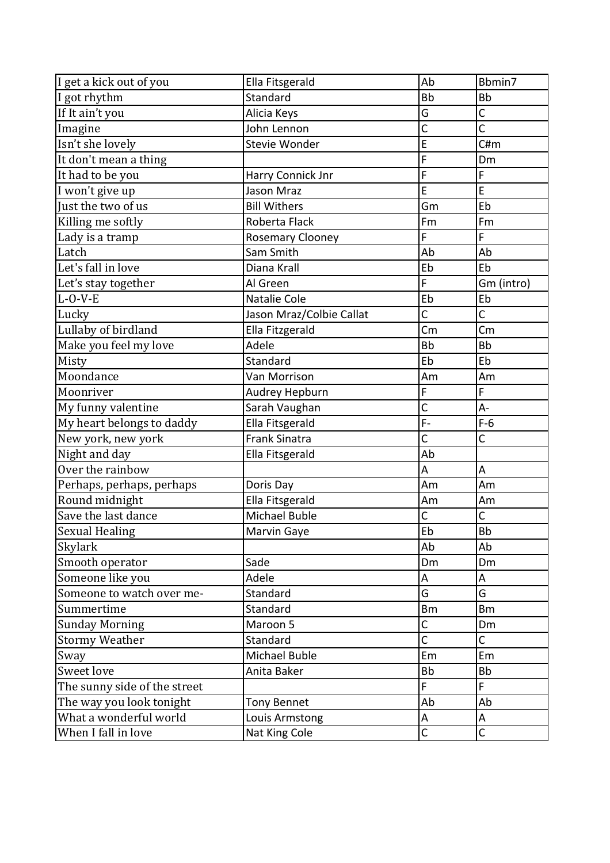| I get a kick out of you      | Ella Fitsgerald          | Ab                        | Bbmin7                  |
|------------------------------|--------------------------|---------------------------|-------------------------|
| I got rhythm                 | Standard                 | <b>Bb</b>                 | <b>Bb</b>               |
| If It ain't you              | Alicia Keys              | G                         | C                       |
| Imagine                      | John Lennon              | C                         | C                       |
| Isn't she lovely             | <b>Stevie Wonder</b>     | E                         | C#m                     |
| It don't mean a thing        |                          | F                         | Dm                      |
| It had to be you             | Harry Connick Jnr        | F                         | $\overline{F}$          |
| I won't give up              | Jason Mraz               | E                         | E                       |
| Just the two of us           | <b>Bill Withers</b>      | Gm                        | Eb                      |
| Killing me softly            | Roberta Flack            | Fm                        | Fm                      |
| Lady is a tramp              | Rosemary Clooney         | F                         | F                       |
| Latch                        | Sam Smith                | Ab                        | Ab                      |
| Let's fall in love           | Diana Krall              | Eb                        | Eb                      |
| Let's stay together          | Al Green                 | F                         | Gm (intro)              |
| $L-O-V-E$                    | Natalie Cole             | Eb                        | Eb                      |
| Lucky                        | Jason Mraz/Colbie Callat | $\mathsf{C}$              | C                       |
| Lullaby of birdland          | Ella Fitzgerald          | Cm                        | Cm                      |
| Make you feel my love        | Adele                    | <b>Bb</b>                 | <b>Bb</b>               |
| Misty                        | Standard                 | Eb                        | Eb                      |
| Moondance                    | Van Morrison             | Am                        | Am                      |
| Moonriver                    | Audrey Hepburn           | F                         | F                       |
| My funny valentine           | Sarah Vaughan            | $\overline{\mathsf{c}}$   | $A -$                   |
| My heart belongs to daddy    | Ella Fitsgerald          | F-                        | $F-6$                   |
| New york, new york           | <b>Frank Sinatra</b>     | $\overline{\mathsf{c}}$   | C                       |
| Night and day                | Ella Fitsgerald          | Ab                        |                         |
| Over the rainbow             |                          | A                         | A                       |
| Perhaps, perhaps, perhaps    | Doris Day                | Am                        | Am                      |
| Round midnight               | Ella Fitsgerald          | Am                        | Am                      |
| Save the last dance          | <b>Michael Buble</b>     | C                         | C                       |
| Sexual Healing               | Marvin Gaye              | Eb                        | <b>Bb</b>               |
| Skylark                      |                          | Ab                        | Ab                      |
| Smooth operator              | Sade                     | Dm                        | Dm                      |
| Someone like you             | Adele                    | $\boldsymbol{\mathsf{A}}$ | A                       |
| Someone to watch over me-    | Standard                 | G                         | G                       |
| Summertime                   | Standard                 | <b>Bm</b>                 | <b>Bm</b>               |
| <b>Sunday Morning</b>        | Maroon 5                 | $\mathsf C$               | Dm                      |
| <b>Stormy Weather</b>        | Standard                 | $\mathsf{C}$              | $\mathsf{C}$            |
| Sway                         | Michael Buble            | Em                        | Em                      |
| Sweet love                   | Anita Baker              | <b>Bb</b>                 | <b>Bb</b>               |
| The sunny side of the street |                          | F                         | F                       |
| The way you look tonight     | <b>Tony Bennet</b>       | Ab                        | Ab                      |
| What a wonderful world       | Louis Armstong           | $\boldsymbol{\mathsf{A}}$ | А                       |
| When I fall in love          | Nat King Cole            | $\overline{C}$            | $\overline{\mathsf{C}}$ |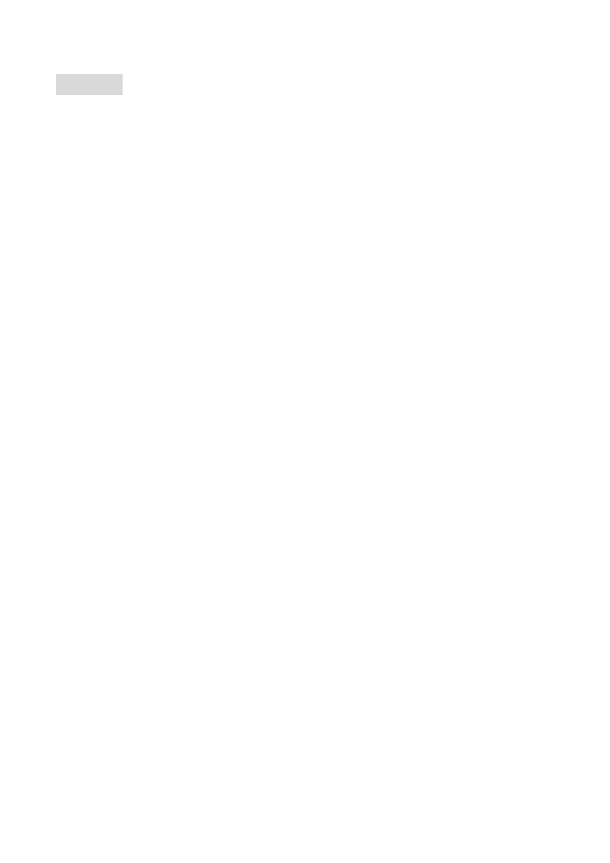$\mathcal{O}(\mathbb{R}^d)$